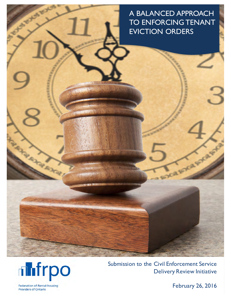A BALANCED APPROACH TO ENFORCING TENANT EVICTION ORDERS



**SECT** 

Submission to the Civil Enforcement Service Delivery Review Initiative

**Federation of Rental-housing Providers of Ontario** 

(INSTRUMENT)

February 26, 2016

Angel Band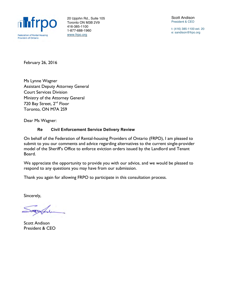

20 Upjohn Rd., Suite 105 Toronto ON M3B 2V9 416-385-1100 1-877-688-1960 www.frpo.org

Scott Andison President & CEO

t: (416) 385-1100 ext. 20 e: sandison@frpo.org

February 26, 2016

Ms Lynne Wagner Assistant Deputy Attorney General Court Services Division Ministry of the Attorney General 720 Bay Street, 2<sup>nd</sup> Floor Toronto, ON M7A 2S9

Dear Ms Wagner:

#### **Re Civil Enforcement Service Delivery Review**

On behalf of the Federation of Rental-housing Providers of Ontario (FRPO), I am pleased to submit to you our comments and advice regarding alternatives to the current single-provider model of the Sheriff's Office to enforce eviction orders issued by the Landlord and Tenant Board.

We appreciate the opportunity to provide you with our advice, and we would be pleased to respond to any questions you may have from our submission.

Thank you again for allowing FRPO to participate in this consultation process.

Sincerely,

Scott Andison President & CEO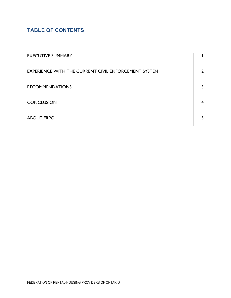# **TABLE OF CONTENTS**

| <b>EXECUTIVE SUMMARY</b>                             |                |
|------------------------------------------------------|----------------|
| EXPERIENCE WITH THE CURRENT CIVIL ENFORCEMENT SYSTEM | $\overline{2}$ |
| <b>RECOMMENDATIONS</b>                               | 3              |
| <b>CONCLUSION</b>                                    | $\overline{4}$ |
| <b>ABOUT FRPO</b>                                    | 5.             |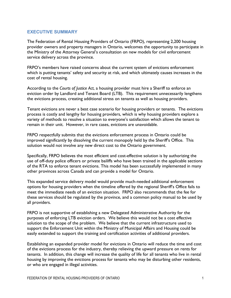### **EXECUTIVE SUMMARY**

The Federation of Rental Housing Providers of Ontario (FRPO), representing 2,200 housing provider owners and property managers in Ontario, welcomes the opportunity to participate in the Ministry of the Attorney General's consultation on new models for civil enforcement service delivery across the province.

FRPO's members have raised concerns about the current system of evictions enforcement which is putting tenants' safety and security at risk, and which ultimately causes increases in the cost of rental housing.

According to the *Courts of Justice Act*, a housing provider must hire a Sheriff to enforce an eviction order by Landlord and Tenant Board (LTB). This requirement unnecessarily lengthens the evictions process, creating additional stress on tenants as well as housing providers.

Tenant evictions are never a best case scenario for housing providers or tenants. The evictions process is costly and lengthy for housing providers, which is why housing providers explore a variety of methods to resolve a situation to everyone's satisfaction which allows the tenant to remain in their unit. However, in rare cases, evictions are unavoidable.

FRPO respectfully submits that the evictions enforcement process in Ontario could be improved significantly by dissolving the current monopoly held by the Sheriff's Office. This solution would not involve any new direct cost to the Ontario government.

Specifically, FRPO believes the most efficient and cost-effective solution is by authorizing the use of off-duty police officers or private bailiffs who have been trained in the applicable sections of the RTA to enforce tenant evictions. This model has been successfully implemented in many other provinces across Canada and can provide a model for Ontario.

This expanded service delivery model would provide much-needed additional enforcement options for housing providers when the timeline offered by the regional Sheriff's Office fails to meet the immediate needs of an eviction situation. FRPO also recommends that the fee for these services should be regulated by the province, and a common policy manual to be used by all providers.

FRPO is not supportive of establishing a new Delegated Administrative Authority for the purposes of enforcing LTB eviction orders. We believe this would not be a cost effective solution to the scope of the problem. We believe that the current infrastructure used to support the Enforcement Unit within the Ministry of Municipal Affairs and Housing could be easily extended to support the training and certification activities of additional providers.

Establishing an expanded provider model for evictions in Ontario will reduce the time and cost of the evictions process for the industry, thereby relieving the upward pressure on rents for tenants. In addition, this change will increase the quality of life for all tenants who live in rental housing by improving the evictions process for tenants who may be disturbing other residents, or who are engaged in illegal activities.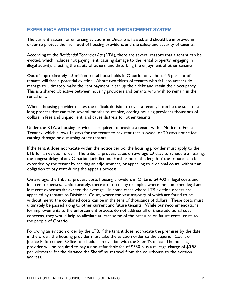### **EXPERIENCE WITH THE CURRENT CIVIL ENFORCEMENT SYSTEM**

The current system for enforcing evictions in Ontario is flawed, and should be improved in order to protect the livelihood of housing providers, and the safety and security of tenants.

According to the *Residential Tenancies Act* (RTA), there are several reasons that a tenant can be evicted, which includes not paying rent, causing damage to the rental property, engaging in illegal activity, affecting the safety of others, and disturbing the enjoyment of other tenants.

Out of approximately 1.3 million rental households in Ontario, only about 4.5 percent of tenants will face a potential eviction. About two thirds of tenants who fall into arrears do manage to ultimately make the rent payment, clear up their debt and retain their occupancy. This is a shared objective between housing providers and tenants who wish to remain in the rental unit.

When a housing provider makes the difficult decision to evict a tenant, it can be the start of a long process that can take several months to resolve, costing housing providers thousands of dollars in fees and unpaid rent, and cause distress for other tenants.

Under the RTA, a housing provider is required to provide a tenant with a Notice to End a Tenancy, which allows 14 days for the tenant to pay rent that is owed, or 20 days notice for causing damage or disturbing other tenants.

If the tenant does not vacate within the notice period, the housing provider must apply to the LTB for an eviction order. The tribunal process takes on average 29 days to schedule a hearing, the longest delay of any Canadian jurisdiction. Furthermore, the length of the tribunal can be extended by the tenant by seeking an adjournment, or appealing to divisional court, without an obligation to pay rent during the appeals process.

On average, the tribunal process costs housing providers in Ontario \$4,400 in legal costs and lost rent expenses. Unfortunately, there are too many examples where the combined legal and lost rent expenses far exceed the average—in some cases where LTB eviction orders are appealed by tenants to Divisional Court, where the vast majority of which are found to be without merit, the combined costs can be in the tens of thousands of dollars. These costs must ultimately be passed along to other current and future tenants. While our recommendations for improvements to the enforcement process do not address all of these additional cost concerns, they would help to alleviate at least some of the pressure on future rental costs to the people of Ontario.

Following an eviction order by the LTB, if the tenant does not vacate the premises by the date in the order, the housing provider must take the eviction order to the Superior Court of Justice Enforcement Office to schedule an eviction with the Sheriff's office. The housing provider will be required to pay a non-refundable fee of \$330 plus a mileage charge of \$0.58 per kilometer for the distance the Sheriff must travel from the courthouse to the eviction address.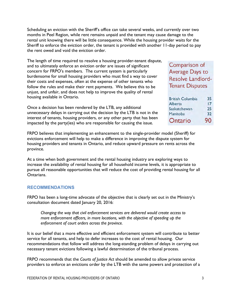Scheduling an eviction with the Sheriff's office can take several weeks, and currently over two months in Peel Region, while rent remains unpaid and the tenant may cause damage to the rental unit knowing there will be little consequence. While the housing provider waits for the Sheriff to enforce the eviction order, the tenant is provided with another 11-day period to pay the rent owed and void the eviction order.

The length of time required to resolve a housing provider-tenant dispute, and to ultimately enforce an eviction order are issues of significant concern for FRPO's members. The current system is particularly burdensome for small housing providers who must find a way to cover their costs and expenses, often at the expense of other tenants who follow the rules and make their rent payments. We believe this to be unjust, and unfair, and does not help to improve the quality of rental housing available in Ontario.

Once a decision has been rendered by the LTB, any additional unnecessary delays in carrying out the decision by the LTB is not in the interest of tenants, housing providers, or any other party that has been impacted by the party(ies) who are responsible for causing the issue.

# Comparison of Average Days to **Resolve Landlord-Tenant Disputes**

| <b>British Columbia</b> | 35 |
|-------------------------|----|
| Alberta                 | 17 |
| Saskatchewan            | 25 |
| Manitoba                | 32 |
| Ontario                 | 90 |

FRPO believes that implementing an enhancement to the single-provider model (Sheriff) for evictions enforcement will help to make a difference in improving the dispute system for housing providers and tenants in Ontario, and reduce upward pressure on rents across the province.

At a time when both government and the rental housing industry are exploring ways to increase the availability of rental housing for all household income levels, it is appropriate to pursue all reasonable opportunities that will reduce the cost of providing rental housing for all Ontarians.

#### **RECOMMENDATIONS**

FRPO has been a long-time advocate of the objective that is clearly set out in the Ministry's consultation document dated January 20, 2016:

*Changing the way that civil enforcement services are delivered would create access to more enforcement officers, in more locations, with the objective of speeding up the enforcement of court orders across the province.*

It is our belief that a more effective and efficient enforcement system will contribute to better service for all tenants, and help to defer increases to the cost of rental housing. Our recommendations that follow will address the long-standing problem of delays in carrying out necessary tenant evictions following a lawful determination of the tribunal process.

FRPO recommends that the *Courts of Justice Act* should be amended to allow private service providers to enforce an evictions order by the LTB with the same powers and protection of a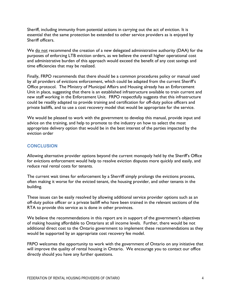Sheriff, including immunity from potential actions in carrying out the act of eviction. It is essential that the same protection be extended to other service providers as is enjoyed by Sheriff officers.

We do not recommend the creation of a new delegated administrative authority (DAA) for the purposes of enforcing LTB eviction orders, as we believe the overall higher operational cost and administrative burden of this approach would exceed the benefit of any cost savings and time efficiencies that may be realized.

Finally, FRPO recommends that there should be a common procedures policy or manual used by all providers of evictions enforcement, which could be adapted from the current Sheriff's Office protocol. The Ministry of Municipal Affairs and Housing already has an Enforcement Unit in place, suggesting that there is an established infrastructure available to train current and new staff working in the Enforcement Unit. FRPO respectfully suggests that this infrastructure could be readily adapted to provide training and certification for off-duty police officers and private bailiffs, and to use a cost recovery model that would be appropriate for the service.

We would be pleased to work with the government to develop this manual, provide input and advice on the training, and help to promote to the industry on how to select the most appropriate delivery option that would be in the best interest of the parties impacted by the eviction order

# **CONCLUSION**

Allowing alternative provider options beyond the current monopoly held by the Sheriff's Office for evictions enforcement would help to resolve eviction disputes more quickly and easily, and reduce real rental costs for tenants.

The current wait times for enforcement by a Sherriff simply prolongs the evictions process, often making it worse for the evicted tenant, the housing provider, and other tenants in the building.

These issues can be easily resolved by allowing additional service provider options such as an off-duty police officer or a private bailiff who have been trained in the relevant sections of the RTA to provide this service as is done in other provinces.

We believe the recommendations in this report are in support of the government's objectives of making housing affordable to Ontarians at all income levels. Further, there would be not additional direct cost to the Ontario government to implement these recommendations as they would be supported by an appropriate cost recovery fee model.

FRPO welcomes the opportunity to work with the government of Ontario on any initiative that will improve the quality of rental housing in Ontario. We encourage you to contact our office directly should you have any further questions.